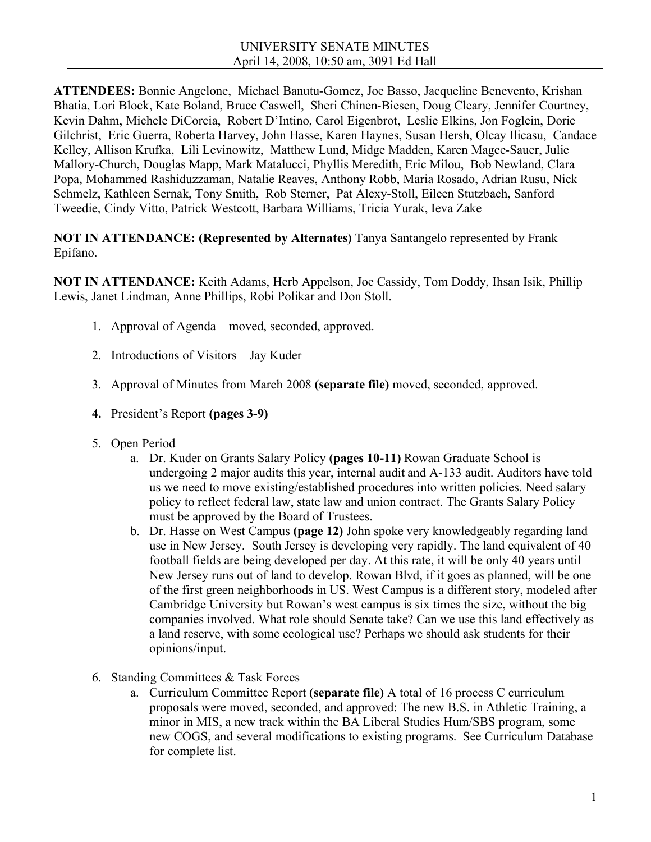### UNIVERSITY SENATE MINUTES April 14, 2008, 10:50 am, 3091 Ed Hall

**ATTENDEES:** Bonnie Angelone, Michael Banutu-Gomez, Joe Basso, Jacqueline Benevento, Krishan Bhatia, Lori Block, Kate Boland, Bruce Caswell, Sheri Chinen-Biesen, Doug Cleary, Jennifer Courtney, Kevin Dahm, Michele DiCorcia, Robert D'Intino, Carol Eigenbrot, Leslie Elkins, Jon Foglein, Dorie Gilchrist, Eric Guerra, Roberta Harvey, John Hasse, Karen Haynes, Susan Hersh, Olcay Ilicasu, Candace Kelley, Allison Krufka, Lili Levinowitz, Matthew Lund, Midge Madden, Karen Magee-Sauer, Julie Mallory-Church, Douglas Mapp, Mark Matalucci, Phyllis Meredith, Eric Milou, Bob Newland, Clara Popa, Mohammed Rashiduzzaman, Natalie Reaves, Anthony Robb, Maria Rosado, Adrian Rusu, Nick Schmelz, Kathleen Sernak, Tony Smith, Rob Sterner, Pat Alexy-Stoll, Eileen Stutzbach, Sanford Tweedie, Cindy Vitto, Patrick Westcott, Barbara Williams, Tricia Yurak, Ieva Zake

### **NOT IN ATTENDANCE: (Represented by Alternates)** Tanya Santangelo represented by Frank Epifano.

**NOT IN ATTENDANCE:** Keith Adams, Herb Appelson, Joe Cassidy, Tom Doddy, Ihsan Isik, Phillip Lewis, Janet Lindman, Anne Phillips, Robi Polikar and Don Stoll.

- 1. Approval of Agenda moved, seconded, approved.
- 2. Introductions of Visitors Jay Kuder
- 3. Approval of Minutes from March 2008 **(separate file)** moved, seconded, approved.
- **4.** President's Report **(pages 3-9)**
- 5. Open Period
	- a. Dr. Kuder on Grants Salary Policy **(pages 10-11)** Rowan Graduate School is undergoing 2 major audits this year, internal audit and A-133 audit. Auditors have told us we need to move existing/established procedures into written policies. Need salary policy to reflect federal law, state law and union contract. The Grants Salary Policy must be approved by the Board of Trustees.
	- b. Dr. Hasse on West Campus **(page 12)** John spoke very knowledgeably regarding land use in New Jersey. South Jersey is developing very rapidly. The land equivalent of 40 football fields are being developed per day. At this rate, it will be only 40 years until New Jersey runs out of land to develop. Rowan Blvd, if it goes as planned, will be one of the first green neighborhoods in US. West Campus is a different story, modeled after Cambridge University but Rowan's west campus is six times the size, without the big companies involved. What role should Senate take? Can we use this land effectively as a land reserve, with some ecological use? Perhaps we should ask students for their opinions/input.
- 6. Standing Committees & Task Forces
	- a. Curriculum Committee Report **(separate file)** A total of 16 process C curriculum proposals were moved, seconded, and approved: The new B.S. in Athletic Training, a minor in MIS, a new track within the BA Liberal Studies Hum/SBS program, some new COGS, and several modifications to existing programs. See Curriculum Database for complete list.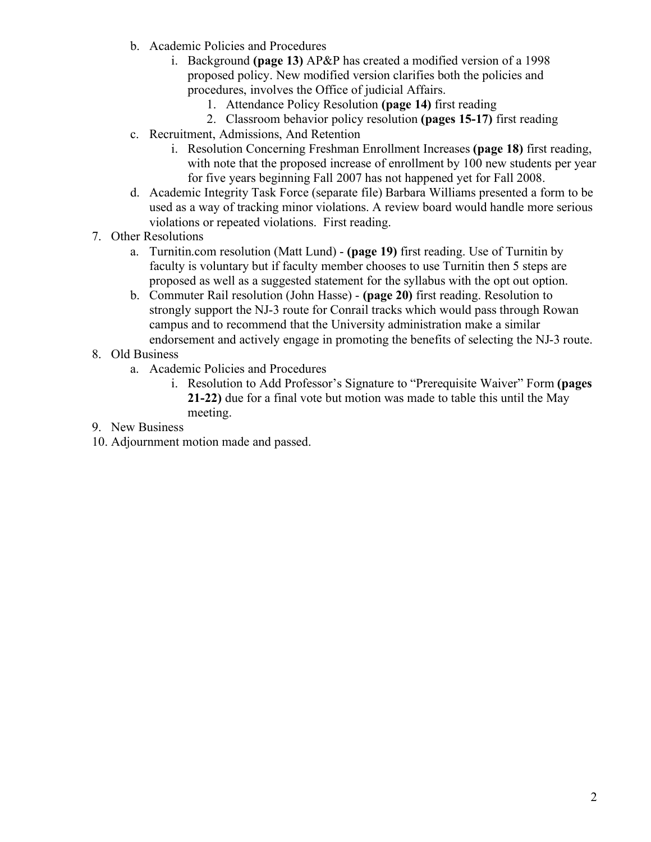- b. Academic Policies and Procedures
	- i. Background **(page 13)** AP&P has created a modified version of a 1998 proposed policy. New modified version clarifies both the policies and procedures, involves the Office of judicial Affairs.
		- 1. Attendance Policy Resolution **(page 14)** first reading
		- 2. Classroom behavior policy resolution **(pages 15-17)** first reading
- c. Recruitment, Admissions, And Retention
	- i. Resolution Concerning Freshman Enrollment Increases **(page 18)** first reading, with note that the proposed increase of enrollment by 100 new students per year for five years beginning Fall 2007 has not happened yet for Fall 2008.
- d. Academic Integrity Task Force (separate file) Barbara Williams presented a form to be used as a way of tracking minor violations. A review board would handle more serious violations or repeated violations. First reading.
- 7. Other Resolutions
	- a. Turnitin.com resolution (Matt Lund) **(page 19)** first reading. Use of Turnitin by faculty is voluntary but if faculty member chooses to use Turnitin then 5 steps are proposed as well as a suggested statement for the syllabus with the opt out option.
	- b. Commuter Rail resolution (John Hasse) **(page 20)** first reading. Resolution to strongly support the NJ-3 route for Conrail tracks which would pass through Rowan campus and to recommend that the University administration make a similar endorsement and actively engage in promoting the benefits of selecting the NJ-3 route.
- 8. Old Business
	- a. Academic Policies and Procedures
		- i. Resolution to Add Professor's Signature to "Prerequisite Waiver" Form **(pages 21-22)** due for a final vote but motion was made to table this until the May meeting.
- 9. New Business
- 10. Adjournment motion made and passed.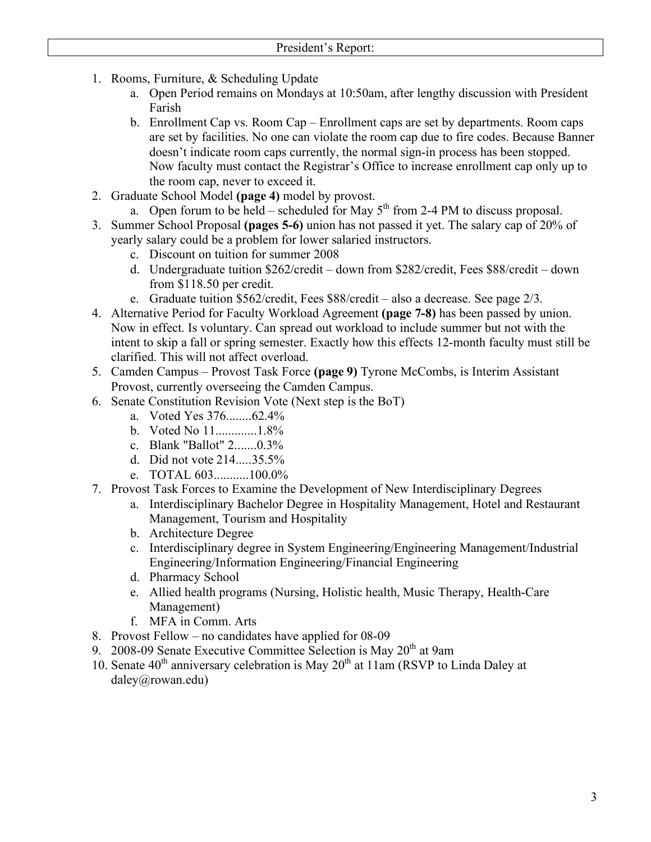- 1. Rooms, Furniture, & Scheduling Update
	- a. Open Period remains on Mondays at 10:50am, after lengthy discussion with President Farish
	- b. Enrollment Cap vs. Room Cap Enrollment caps are set by departments. Room caps are set by facilities. No one can violate the room cap due to fire codes. Because Banner doesn't indicate room caps currently, the normal sign-in process has been stopped. Now faculty must contact the Registrar's Office to increase enrollment cap only up to the room cap, never to exceed it.
- 2. Graduate School Model **(page 4)** model by provost.
	- a. Open forum to be held scheduled for May  $5<sup>th</sup>$  from 2-4 PM to discuss proposal.
- 3. Summer School Proposal **(pages 5-6)** union has not passed it yet. The salary cap of 20% of yearly salary could be a problem for lower salaried instructors.
	- c. Discount on tuition for summer 2008
	- d. Undergraduate tuition \$262/credit down from \$282/credit, Fees \$88/credit down from \$118.50 per credit.
	- e. Graduate tuition \$562/credit, Fees \$88/credit also a decrease. See page 2/3.
- 4. Alternative Period for Faculty Workload Agreement **(page 7-8)** has been passed by union. Now in effect. Is voluntary. Can spread out workload to include summer but not with the intent to skip a fall or spring semester. Exactly how this effects 12-month faculty must still be clarified. This will not affect overload.
- 5. Camden Campus Provost Task Force **(page 9)** Tyrone McCombs, is Interim Assistant Provost, currently overseeing the Camden Campus.
- 6. Senate Constitution Revision Vote (Next step is the BoT)
	- a. Voted Yes 376........62.4%
	- b. Voted No 11.............1.8%
	- c. Blank "Ballot" 2.......0.3%
	- d. Did not vote 214.....35.5%
	- e. TOTAL 603...........100.0%
- 7. Provost Task Forces to Examine the Development of New Interdisciplinary Degrees

a. Interdisciplinary Bachelor Degree in Hospitality Management, Hotel and Restaurant Management, Tourism and Hospitality

- b. Architecture Degree
- c. Interdisciplinary degree in System Engineering/Engineering Management/Industrial Engineering/Information Engineering/Financial Engineering
- d. Pharmacy School
- e. Allied health programs (Nursing, Holistic health, Music Therapy, Health-Care Management)
- f. MFA in Comm. Arts
- 8. Provost Fellow no candidates have applied for 08-09
- 9. 2008-09 Senate Executive Committee Selection is May  $20<sup>th</sup>$  at 9am
- 10. Senate  $40^{th}$  anniversary celebration is May  $20^{th}$  at 11am (RSVP to Linda Daley at daley@rowan.edu)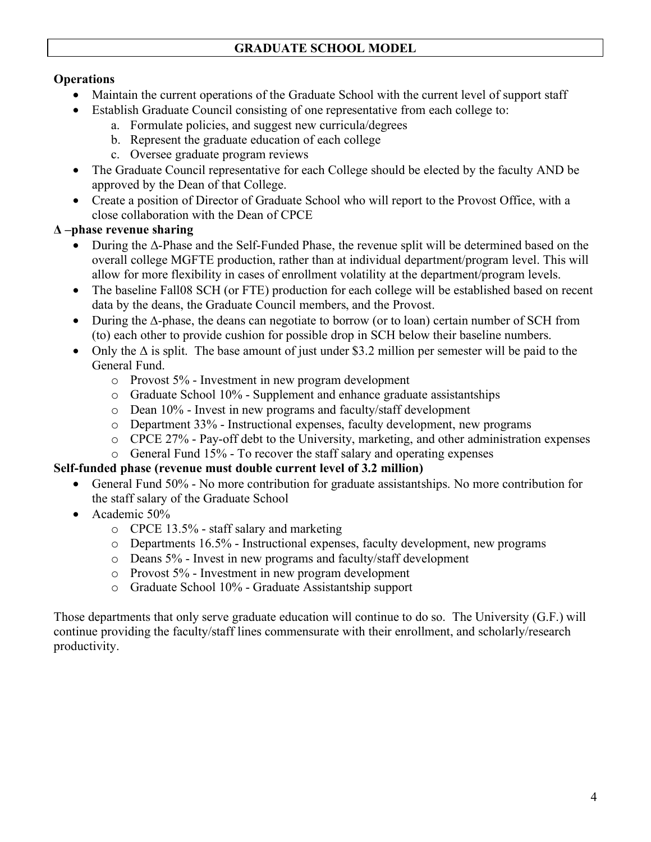# **Operations**

- Maintain the current operations of the Graduate School with the current level of support staff
- ∑ Establish Graduate Council consisting of one representative from each college to:
	- a. Formulate policies, and suggest new curricula/degrees
	- b. Represent the graduate education of each college
	- c. Oversee graduate program reviews
- The Graduate Council representative for each College should be elected by the faculty AND be approved by the Dean of that College.
- Create a position of Director of Graduate School who will report to the Provost Office, with a close collaboration with the Dean of CPCE

# **Δ –phase revenue sharing**

- ∑ During the Δ-Phase and the Self-Funded Phase, the revenue split will be determined based on the overall college MGFTE production, rather than at individual department/program level. This will allow for more flexibility in cases of enrollment volatility at the department/program levels.
- The baseline Fall08 SCH (or FTE) production for each college will be established based on recent data by the deans, the Graduate Council members, and the Provost.
- ∑ During the ∆-phase, the deans can negotiate to borrow (or to loan) certain number of SCH from (to) each other to provide cushion for possible drop in SCH below their baseline numbers.
- Only the  $\Delta$  is split. The base amount of just under \$3.2 million per semester will be paid to the General Fund.
	- o Provost 5% Investment in new program development
	- o Graduate School 10% Supplement and enhance graduate assistantships
	- o Dean 10% Invest in new programs and faculty/staff development
	- o Department 33% Instructional expenses, faculty development, new programs
	- o CPCE 27% Pay-off debt to the University, marketing, and other administration expenses
	- o General Fund 15% To recover the staff salary and operating expenses

# **Self-funded phase (revenue must double current level of 3.2 million)**

- ∑ General Fund 50% No more contribution for graduate assistantships. No more contribution for the staff salary of the Graduate School
- ∑ Academic 50%
	- o CPCE 13.5% staff salary and marketing
	- o Departments 16.5% Instructional expenses, faculty development, new programs
	- o Deans 5% Invest in new programs and faculty/staff development
	- o Provost 5% Investment in new program development
	- o Graduate School 10% Graduate Assistantship support

Those departments that only serve graduate education will continue to do so. The University (G.F.) will continue providing the faculty/staff lines commensurate with their enrollment, and scholarly/research productivity.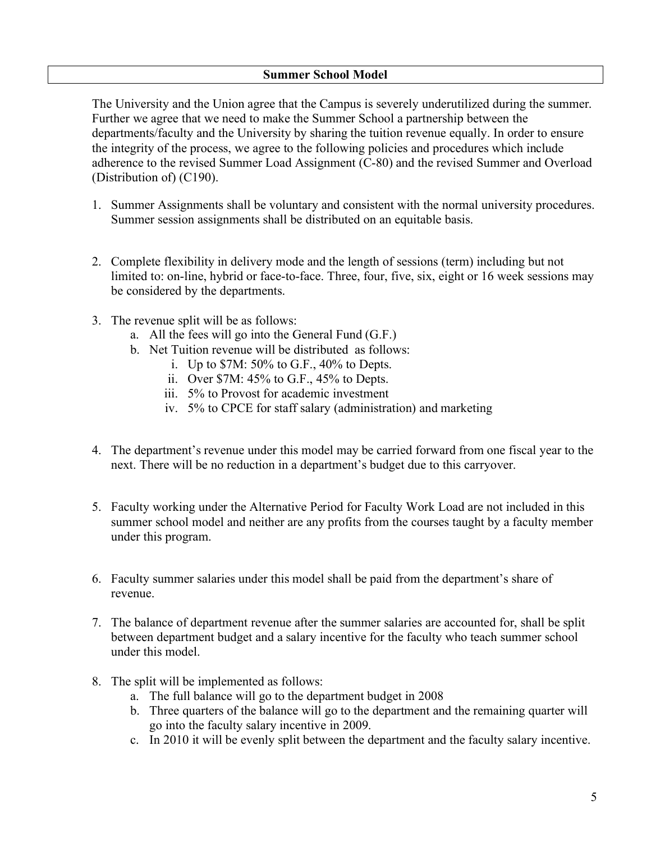### **Summer School Model**

The University and the Union agree that the Campus is severely underutilized during the summer. Further we agree that we need to make the Summer School a partnership between the departments/faculty and the University by sharing the tuition revenue equally. In order to ensure the integrity of the process, we agree to the following policies and procedures which include adherence to the revised Summer Load Assignment (C-80) and the revised Summer and Overload (Distribution of) (C190).

- 1. Summer Assignments shall be voluntary and consistent with the normal university procedures. Summer session assignments shall be distributed on an equitable basis.
- 2. Complete flexibility in delivery mode and the length of sessions (term) including but not limited to: on-line, hybrid or face-to-face. Three, four, five, six, eight or 16 week sessions may be considered by the departments.
- 3. The revenue split will be as follows:
	- a. All the fees will go into the General Fund (G.F.)
	- b. Net Tuition revenue will be distributed as follows:
		- i. Up to \$7M: 50% to G.F., 40% to Depts.
		- ii. Over \$7M: 45% to G.F., 45% to Depts.
		- iii. 5% to Provost for academic investment
		- iv. 5% to CPCE for staff salary (administration) and marketing
- 4. The department's revenue under this model may be carried forward from one fiscal year to the next. There will be no reduction in a department's budget due to this carryover.
- 5. Faculty working under the Alternative Period for Faculty Work Load are not included in this summer school model and neither are any profits from the courses taught by a faculty member under this program.
- 6. Faculty summer salaries under this model shall be paid from the department's share of revenue.
- 7. The balance of department revenue after the summer salaries are accounted for, shall be split between department budget and a salary incentive for the faculty who teach summer school under this model
- 8. The split will be implemented as follows:
	- a. The full balance will go to the department budget in 2008
	- b. Three quarters of the balance will go to the department and the remaining quarter will go into the faculty salary incentive in 2009.
	- c. In 2010 it will be evenly split between the department and the faculty salary incentive.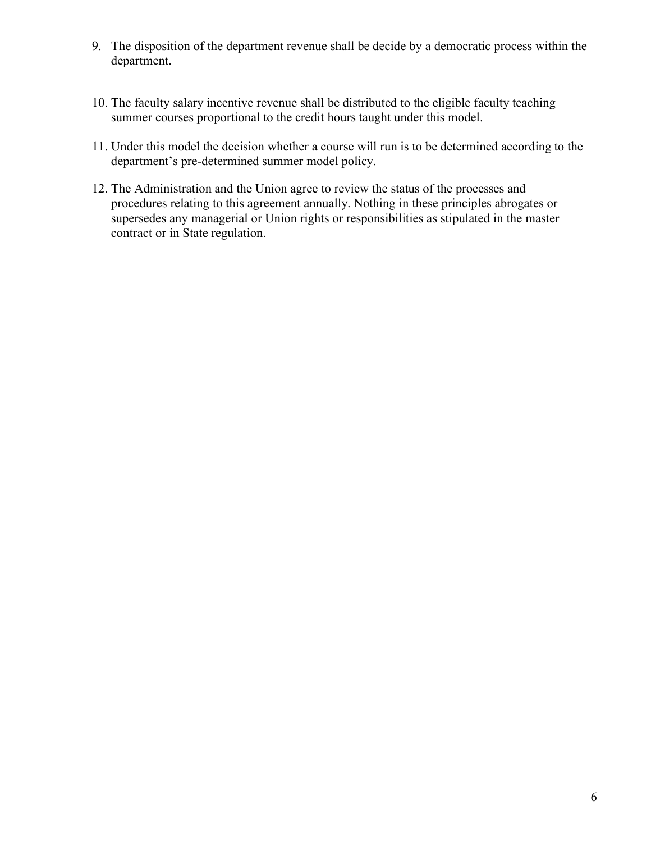- 9. The disposition of the department revenue shall be decide by a democratic process within the department.
- 10. The faculty salary incentive revenue shall be distributed to the eligible faculty teaching summer courses proportional to the credit hours taught under this model.
- 11. Under this model the decision whether a course will run is to be determined according to the department's pre-determined summer model policy.
- 12. The Administration and the Union agree to review the status of the processes and procedures relating to this agreement annually. Nothing in these principles abrogates or supersedes any managerial or Union rights or responsibilities as stipulated in the master contract or in State regulation.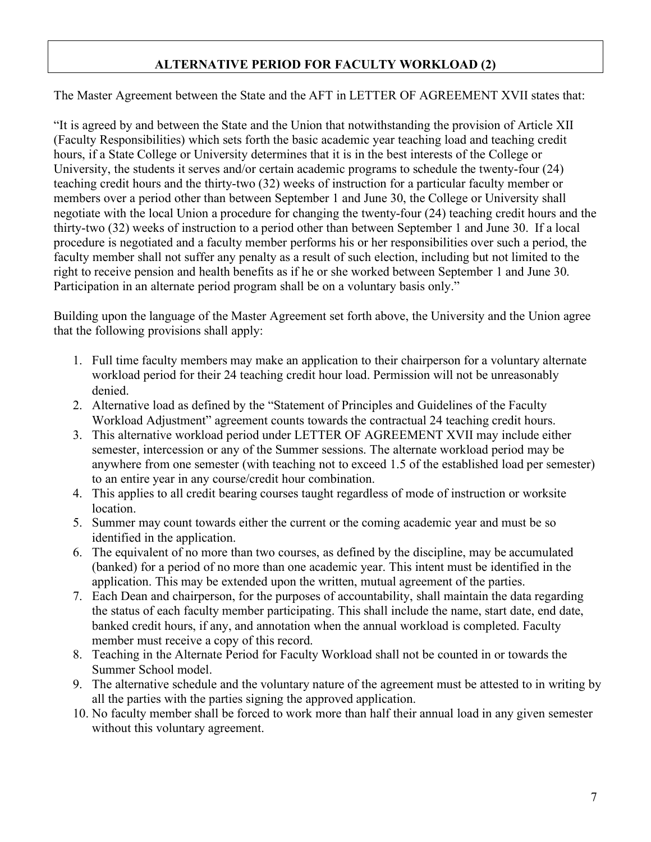# **ALTERNATIVE PERIOD FOR FACULTY WORKLOAD (2)**

The Master Agreement between the State and the AFT in LETTER OF AGREEMENT XVII states that:

"It is agreed by and between the State and the Union that notwithstanding the provision of Article XII (Faculty Responsibilities) which sets forth the basic academic year teaching load and teaching credit hours, if a State College or University determines that it is in the best interests of the College or University, the students it serves and/or certain academic programs to schedule the twenty-four (24) teaching credit hours and the thirty-two (32) weeks of instruction for a particular faculty member or members over a period other than between September 1 and June 30, the College or University shall negotiate with the local Union a procedure for changing the twenty-four (24) teaching credit hours and the thirty-two (32) weeks of instruction to a period other than between September 1 and June 30. If a local procedure is negotiated and a faculty member performs his or her responsibilities over such a period, the faculty member shall not suffer any penalty as a result of such election, including but not limited to the right to receive pension and health benefits as if he or she worked between September 1 and June 30. Participation in an alternate period program shall be on a voluntary basis only."

Building upon the language of the Master Agreement set forth above, the University and the Union agree that the following provisions shall apply:

- 1. Full time faculty members may make an application to their chairperson for a voluntary alternate workload period for their 24 teaching credit hour load. Permission will not be unreasonably denied.
- 2. Alternative load as defined by the "Statement of Principles and Guidelines of the Faculty Workload Adjustment" agreement counts towards the contractual 24 teaching credit hours.
- 3. This alternative workload period under LETTER OF AGREEMENT XVII may include either semester, intercession or any of the Summer sessions. The alternate workload period may be anywhere from one semester (with teaching not to exceed 1.5 of the established load per semester) to an entire year in any course/credit hour combination.
- 4. This applies to all credit bearing courses taught regardless of mode of instruction or worksite location.
- 5. Summer may count towards either the current or the coming academic year and must be so identified in the application.
- 6. The equivalent of no more than two courses, as defined by the discipline, may be accumulated (banked) for a period of no more than one academic year. This intent must be identified in the application. This may be extended upon the written, mutual agreement of the parties.
- 7. Each Dean and chairperson, for the purposes of accountability, shall maintain the data regarding the status of each faculty member participating. This shall include the name, start date, end date, banked credit hours, if any, and annotation when the annual workload is completed. Faculty member must receive a copy of this record.
- 8. Teaching in the Alternate Period for Faculty Workload shall not be counted in or towards the Summer School model.
- 9. The alternative schedule and the voluntary nature of the agreement must be attested to in writing by all the parties with the parties signing the approved application.
- 10. No faculty member shall be forced to work more than half their annual load in any given semester without this voluntary agreement.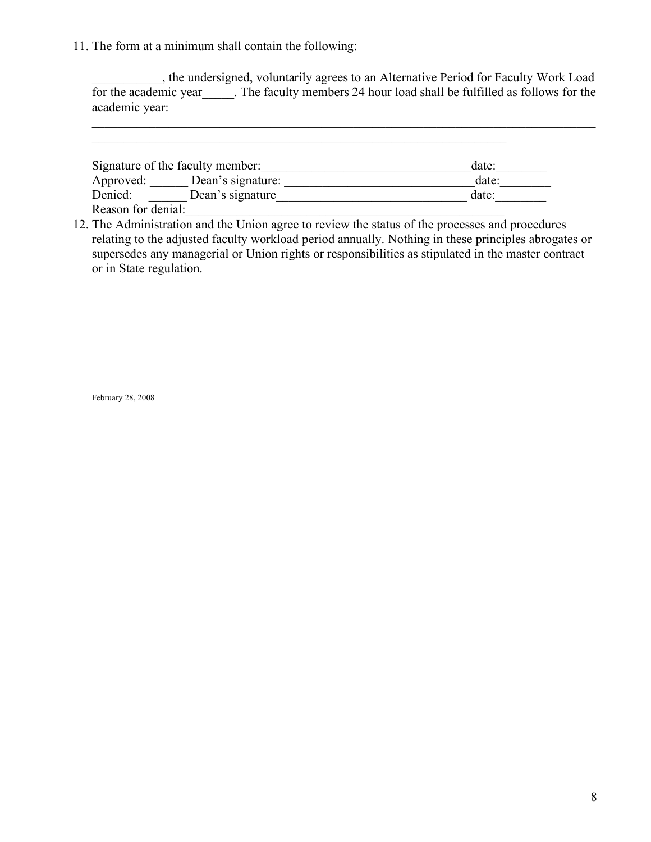11. The form at a minimum shall contain the following:

\_\_\_\_\_\_\_\_\_\_\_, the undersigned, voluntarily agrees to an Alternative Period for Faculty Work Load for the academic year The faculty members 24 hour load shall be fulfilled as follows for the academic year:

 $\_$  , and the contribution of the contribution of the contribution of the contribution of  $\mathcal{L}_\text{max}$ 

| Signature of the faculty member: | date:             |       |
|----------------------------------|-------------------|-------|
| Approved:                        | Dean's signature: | date: |
| Denied:                          | Dean's signature  | date: |
| Reason for denial:               |                   |       |

 $\mathcal{L}_\mathcal{L}$  , and the contribution of the contribution of the contribution of the contribution of the contribution of the contribution of the contribution of the contribution of the contribution of the contribution of

12. The Administration and the Union agree to review the status of the processes and procedures relating to the adjusted faculty workload period annually. Nothing in these principles abrogates or supersedes any managerial or Union rights or responsibilities as stipulated in the master contract or in State regulation.

February 28, 2008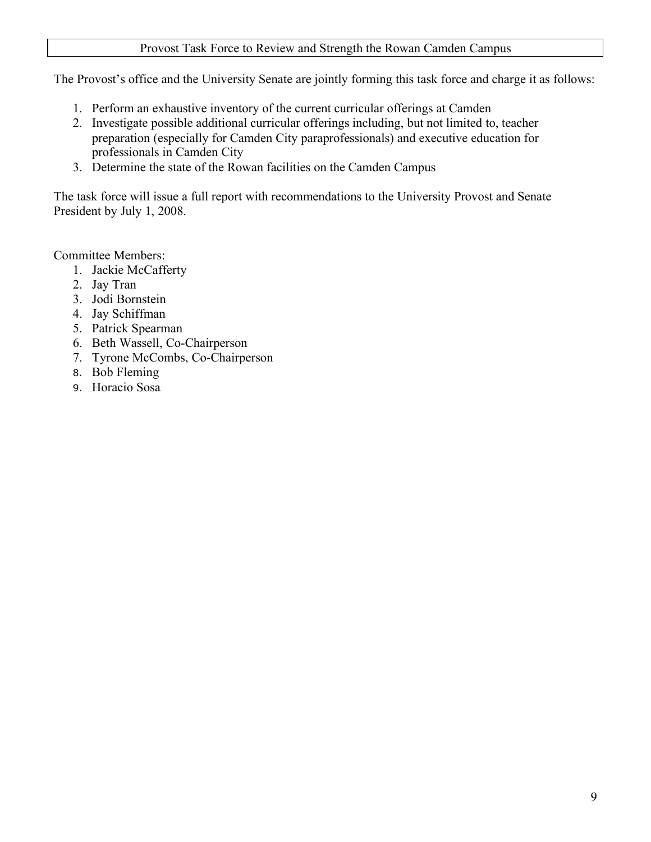### Provost Task Force to Review and Strength the Rowan Camden Campus

The Provost's office and the University Senate are jointly forming this task force and charge it as follows:

- 1. Perform an exhaustive inventory of the current curricular offerings at Camden
- 2. Investigate possible additional curricular offerings including, but not limited to, teacher preparation (especially for Camden City paraprofessionals) and executive education for professionals in Camden City
- 3. Determine the state of the Rowan facilities on the Camden Campus

The task force will issue a full report with recommendations to the University Provost and Senate President by July 1, 2008.

Committee Members:

- 1. Jackie McCafferty
- 2. Jay Tran
- 3. Jodi Bornstein
- 4. Jay Schiffman
- 5. Patrick Spearman
- 6. Beth Wassell, Co-Chairperson
- 7. Tyrone McCombs, Co-Chairperson
- 8. Bob Fleming
- 9. Horacio Sosa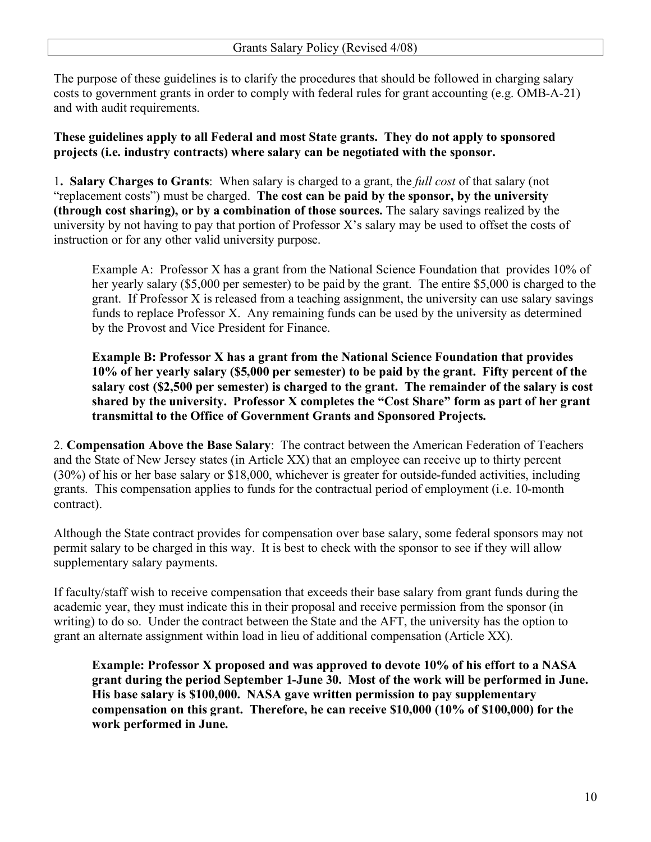The purpose of these guidelines is to clarify the procedures that should be followed in charging salary costs to government grants in order to comply with federal rules for grant accounting (e.g. OMB-A-21) and with audit requirements.

# **These guidelines apply to all Federal and most State grants. They do not apply to sponsored projects (i.e. industry contracts) where salary can be negotiated with the sponsor.**

1**. Salary Charges to Grants**: When salary is charged to a grant, the *full cost* of that salary (not "replacement costs") must be charged. **The cost can be paid by the sponsor, by the university (through cost sharing), or by a combination of those sources.** The salary savings realized by the university by not having to pay that portion of Professor X's salary may be used to offset the costs of instruction or for any other valid university purpose.

Example A: Professor X has a grant from the National Science Foundation that provides 10% of her yearly salary (\$5,000 per semester) to be paid by the grant. The entire \$5,000 is charged to the grant. If Professor X is released from a teaching assignment, the university can use salary savings funds to replace Professor X. Any remaining funds can be used by the university as determined by the Provost and Vice President for Finance.

**Example B: Professor X has a grant from the National Science Foundation that provides 10% of her yearly salary (\$5,000 per semester) to be paid by the grant. Fifty percent of the salary cost (\$2,500 per semester) is charged to the grant. The remainder of the salary is cost shared by the university. Professor X completes the "Cost Share" form as part of her grant transmittal to the Office of Government Grants and Sponsored Projects.**

2. **Compensation Above the Base Salary**: The contract between the American Federation of Teachers and the State of New Jersey states (in Article XX) that an employee can receive up to thirty percent (30%) of his or her base salary or \$18,000, whichever is greater for outside-funded activities, including grants. This compensation applies to funds for the contractual period of employment (i.e. 10-month contract).

Although the State contract provides for compensation over base salary, some federal sponsors may not permit salary to be charged in this way. It is best to check with the sponsor to see if they will allow supplementary salary payments.

If faculty/staff wish to receive compensation that exceeds their base salary from grant funds during the academic year, they must indicate this in their proposal and receive permission from the sponsor (in writing) to do so. Under the contract between the State and the AFT, the university has the option to grant an alternate assignment within load in lieu of additional compensation (Article XX).

**Example: Professor X proposed and was approved to devote 10% of his effort to a NASA grant during the period September 1-June 30. Most of the work will be performed in June. His base salary is \$100,000. NASA gave written permission to pay supplementary compensation on this grant. Therefore, he can receive \$10,000 (10% of \$100,000) for the work performed in June.**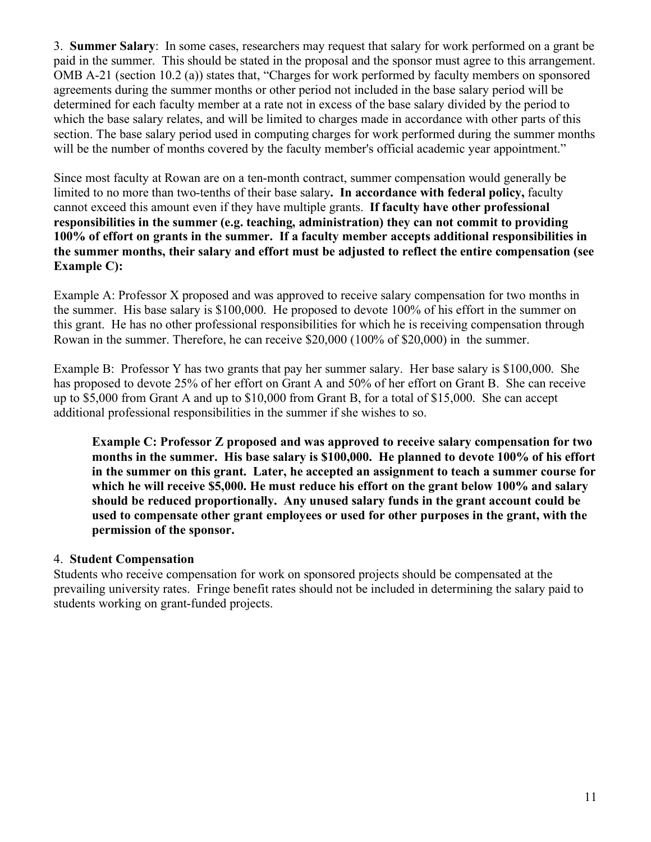3. **Summer Salary**: In some cases, researchers may request that salary for work performed on a grant be paid in the summer. This should be stated in the proposal and the sponsor must agree to this arrangement. OMB A-21 (section 10.2 (a)) states that, "Charges for work performed by faculty members on sponsored agreements during the summer months or other period not included in the base salary period will be determined for each faculty member at a rate not in excess of the base salary divided by the period to which the base salary relates, and will be limited to charges made in accordance with other parts of this section. The base salary period used in computing charges for work performed during the summer months will be the number of months covered by the faculty member's official academic year appointment."

Since most faculty at Rowan are on a ten-month contract, summer compensation would generally be limited to no more than two-tenths of their base salary**. In accordance with federal policy,** faculty cannot exceed this amount even if they have multiple grants. **If faculty have other professional responsibilities in the summer (e.g. teaching, administration) they can not commit to providing 100% of effort on grants in the summer. If a faculty member accepts additional responsibilities in the summer months, their salary and effort must be adjusted to reflect the entire compensation (see Example C):**

Example A: Professor X proposed and was approved to receive salary compensation for two months in the summer. His base salary is \$100,000. He proposed to devote 100% of his effort in the summer on this grant. He has no other professional responsibilities for which he is receiving compensation through Rowan in the summer. Therefore, he can receive \$20,000 (100% of \$20,000) in the summer.

Example B: Professor Y has two grants that pay her summer salary. Her base salary is \$100,000. She has proposed to devote 25% of her effort on Grant A and 50% of her effort on Grant B. She can receive up to \$5,000 from Grant A and up to \$10,000 from Grant B, for a total of \$15,000. She can accept additional professional responsibilities in the summer if she wishes to so.

**Example C: Professor Z proposed and was approved to receive salary compensation for two months in the summer. His base salary is \$100,000. He planned to devote 100% of his effort in the summer on this grant. Later, he accepted an assignment to teach a summer course for which he will receive \$5,000. He must reduce his effort on the grant below 100% and salary should be reduced proportionally. Any unused salary funds in the grant account could be used to compensate other grant employees or used for other purposes in the grant, with the permission of the sponsor.**

# 4. **Student Compensation**

Students who receive compensation for work on sponsored projects should be compensated at the prevailing university rates. Fringe benefit rates should not be included in determining the salary paid to students working on grant-funded projects.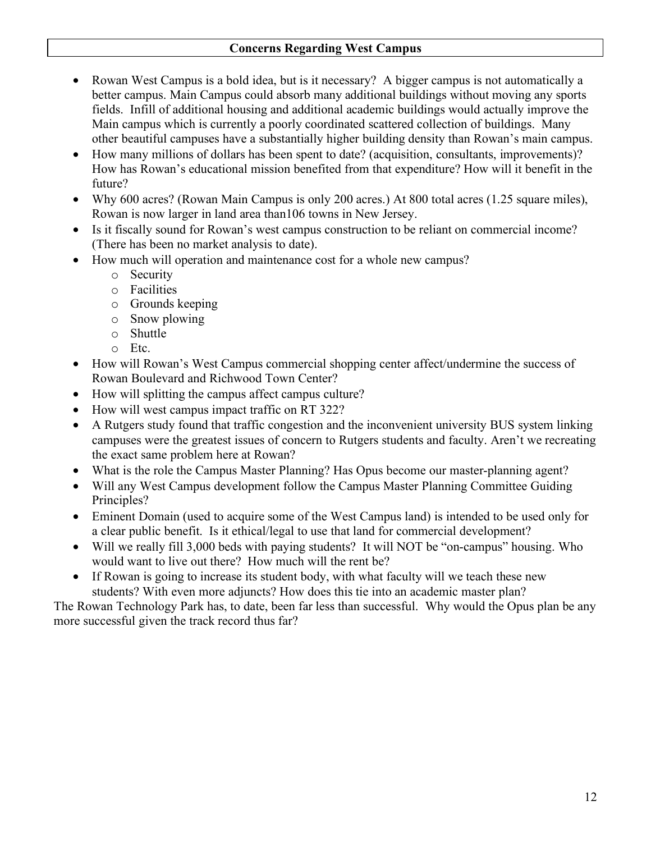## **Concerns Regarding West Campus**

- ∑ Rowan West Campus is a bold idea, but is it necessary? A bigger campus is not automatically a better campus. Main Campus could absorb many additional buildings without moving any sports fields. Infill of additional housing and additional academic buildings would actually improve the Main campus which is currently a poorly coordinated scattered collection of buildings. Many other beautiful campuses have a substantially higher building density than Rowan's main campus.
- ∑ How many millions of dollars has been spent to date? (acquisition, consultants, improvements)? How has Rowan's educational mission benefited from that expenditure? How will it benefit in the future?
- Why 600 acres? (Rowan Main Campus is only 200 acres.) At 800 total acres (1.25 square miles), Rowan is now larger in land area than106 towns in New Jersey.
- Is it fiscally sound for Rowan's west campus construction to be reliant on commercial income? (There has been no market analysis to date).
- How much will operation and maintenance cost for a whole new campus?
	- o Security
	- o Facilities
	- o Grounds keeping
	- o Snow plowing
	- o Shuttle
	- o Etc.
- ∑ How will Rowan's West Campus commercial shopping center affect/undermine the success of Rowan Boulevard and Richwood Town Center?
- ∑ How will splitting the campus affect campus culture?
- How will west campus impact traffic on RT 322?
- ∑ A Rutgers study found that traffic congestion and the inconvenient university BUS system linking campuses were the greatest issues of concern to Rutgers students and faculty. Aren't we recreating the exact same problem here at Rowan?
- What is the role the Campus Master Planning? Has Opus become our master-planning agent?
- Will any West Campus development follow the Campus Master Planning Committee Guiding Principles?
- Eminent Domain (used to acquire some of the West Campus land) is intended to be used only for a clear public benefit. Is it ethical/legal to use that land for commercial development?
- Will we really fill 3,000 beds with paying students? It will NOT be "on-campus" housing. Who would want to live out there? How much will the rent be?
- If Rowan is going to increase its student body, with what faculty will we teach these new students? With even more adjuncts? How does this tie into an academic master plan?

The Rowan Technology Park has, to date, been far less than successful. Why would the Opus plan be any more successful given the track record thus far?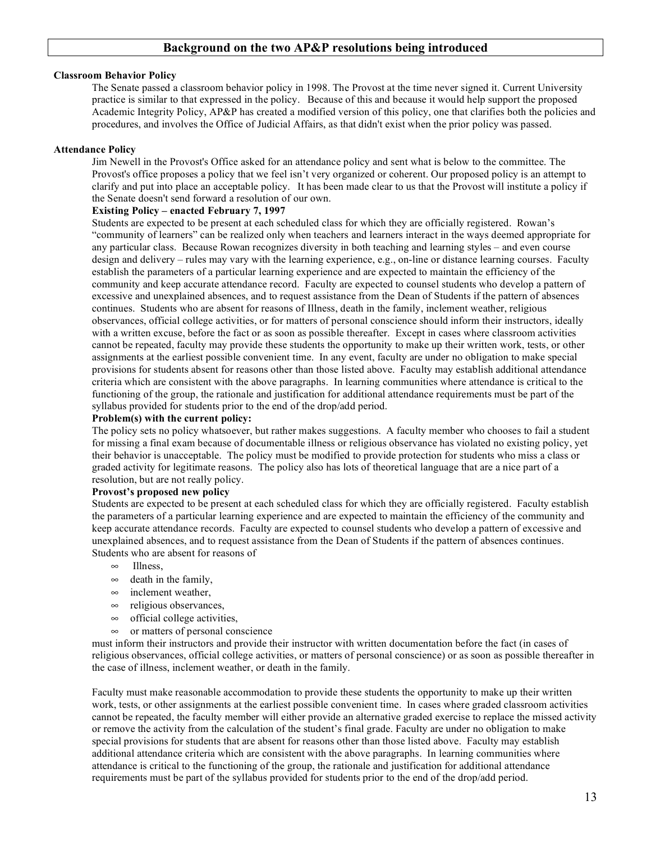#### **Background on the two AP&P resolutions being introduced**

#### **Classroom Behavior Policy**

The Senate passed a classroom behavior policy in 1998. The Provost at the time never signed it. Current University practice is similar to that expressed in the policy. Because of this and because it would help support the proposed Academic Integrity Policy, AP&P has created a modified version of this policy, one that clarifies both the policies and procedures, and involves the Office of Judicial Affairs, as that didn't exist when the prior policy was passed.

#### **Attendance Policy**

Jim Newell in the Provost's Office asked for an attendance policy and sent what is below to the committee. The Provost's office proposes a policy that we feel isn't very organized or coherent. Our proposed policy is an attempt to clarify and put into place an acceptable policy. It has been made clear to us that the Provost will institute a policy if the Senate doesn't send forward a resolution of our own.

#### **Existing Policy – enacted February 7, 1997**

Students are expected to be present at each scheduled class for which they are officially registered. Rowan's "community of learners" can be realized only when teachers and learners interact in the ways deemed appropriate for any particular class. Because Rowan recognizes diversity in both teaching and learning styles – and even course design and delivery – rules may vary with the learning experience, e.g., on-line or distance learning courses. Faculty establish the parameters of a particular learning experience and are expected to maintain the efficiency of the community and keep accurate attendance record. Faculty are expected to counsel students who develop a pattern of excessive and unexplained absences, and to request assistance from the Dean of Students if the pattern of absences continues. Students who are absent for reasons of Illness, death in the family, inclement weather, religious observances, official college activities, or for matters of personal conscience should inform their instructors, ideally with a written excuse, before the fact or as soon as possible thereafter. Except in cases where classroom activities cannot be repeated, faculty may provide these students the opportunity to make up their written work, tests, or other assignments at the earliest possible convenient time. In any event, faculty are under no obligation to make special provisions for students absent for reasons other than those listed above. Faculty may establish additional attendance criteria which are consistent with the above paragraphs. In learning communities where attendance is critical to the functioning of the group, the rationale and justification for additional attendance requirements must be part of the syllabus provided for students prior to the end of the drop/add period.

#### **Problem(s) with the current policy:**

The policy sets no policy whatsoever, but rather makes suggestions. A faculty member who chooses to fail a student for missing a final exam because of documentable illness or religious observance has violated no existing policy, yet their behavior is unacceptable. The policy must be modified to provide protection for students who miss a class or graded activity for legitimate reasons. The policy also has lots of theoretical language that are a nice part of a resolution, but are not really policy.

#### **Provost's proposed new policy**

Students are expected to be present at each scheduled class for which they are officially registered. Faculty establish the parameters of a particular learning experience and are expected to maintain the efficiency of the community and keep accurate attendance records. Faculty are expected to counsel students who develop a pattern of excessive and unexplained absences, and to request assistance from the Dean of Students if the pattern of absences continues. Students who are absent for reasons of

- $\infty$  Illness.
- $\infty$  death in the family,
- $\infty$  inclement weather,
- $\infty$  religious observances,
- $\infty$  official college activities,
- $\infty$  or matters of personal conscience

must inform their instructors and provide their instructor with written documentation before the fact (in cases of religious observances, official college activities, or matters of personal conscience) or as soon as possible thereafter in the case of illness, inclement weather, or death in the family.

Faculty must make reasonable accommodation to provide these students the opportunity to make up their written work, tests, or other assignments at the earliest possible convenient time. In cases where graded classroom activities cannot be repeated, the faculty member will either provide an alternative graded exercise to replace the missed activity or remove the activity from the calculation of the student's final grade. Faculty are under no obligation to make special provisions for students that are absent for reasons other than those listed above. Faculty may establish additional attendance criteria which are consistent with the above paragraphs. In learning communities where attendance is critical to the functioning of the group, the rationale and justification for additional attendance requirements must be part of the syllabus provided for students prior to the end of the drop/add period.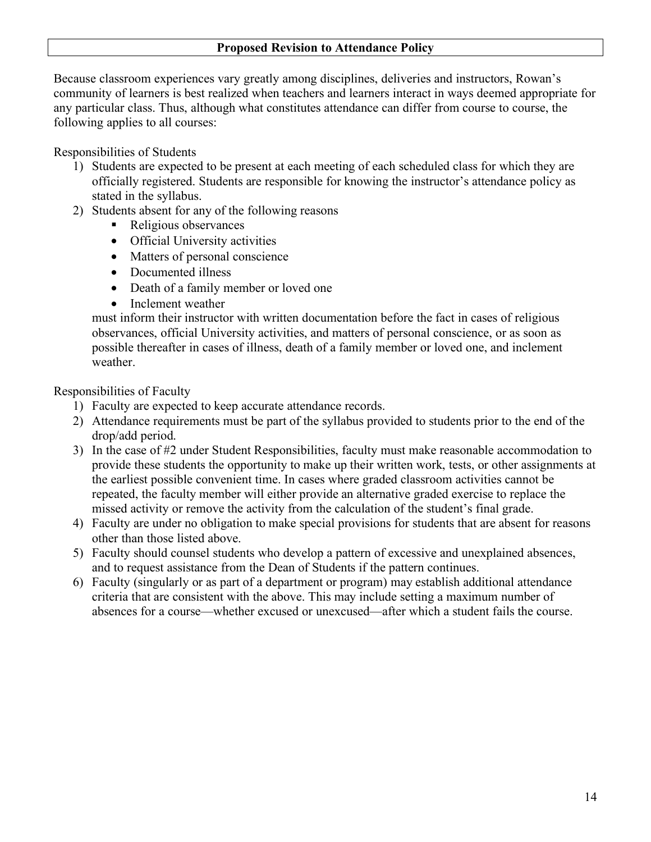### **Proposed Revision to Attendance Policy**

Because classroom experiences vary greatly among disciplines, deliveries and instructors, Rowan's community of learners is best realized when teachers and learners interact in ways deemed appropriate for any particular class. Thus, although what constitutes attendance can differ from course to course, the following applies to all courses:

Responsibilities of Students

- 1) Students are expected to be present at each meeting of each scheduled class for which they are officially registered. Students are responsible for knowing the instructor's attendance policy as stated in the syllabus.
- 2) Students absent for any of the following reasons
	- Religious observances
	- Official University activities
	- Matters of personal conscience
	- Documented illness
	- Death of a family member or loved one
	- Inclement weather

must inform their instructor with written documentation before the fact in cases of religious observances, official University activities, and matters of personal conscience, or as soon as possible thereafter in cases of illness, death of a family member or loved one, and inclement weather.

Responsibilities of Faculty

- 1) Faculty are expected to keep accurate attendance records.
- 2) Attendance requirements must be part of the syllabus provided to students prior to the end of the drop/add period.
- 3) In the case of #2 under Student Responsibilities, faculty must make reasonable accommodation to provide these students the opportunity to make up their written work, tests, or other assignments at the earliest possible convenient time. In cases where graded classroom activities cannot be repeated, the faculty member will either provide an alternative graded exercise to replace the missed activity or remove the activity from the calculation of the student's final grade.
- 4) Faculty are under no obligation to make special provisions for students that are absent for reasons other than those listed above.
- 5) Faculty should counsel students who develop a pattern of excessive and unexplained absences, and to request assistance from the Dean of Students if the pattern continues.
- 6) Faculty (singularly or as part of a department or program) may establish additional attendance criteria that are consistent with the above. This may include setting a maximum number of absences for a course—whether excused or unexcused—after which a student fails the course.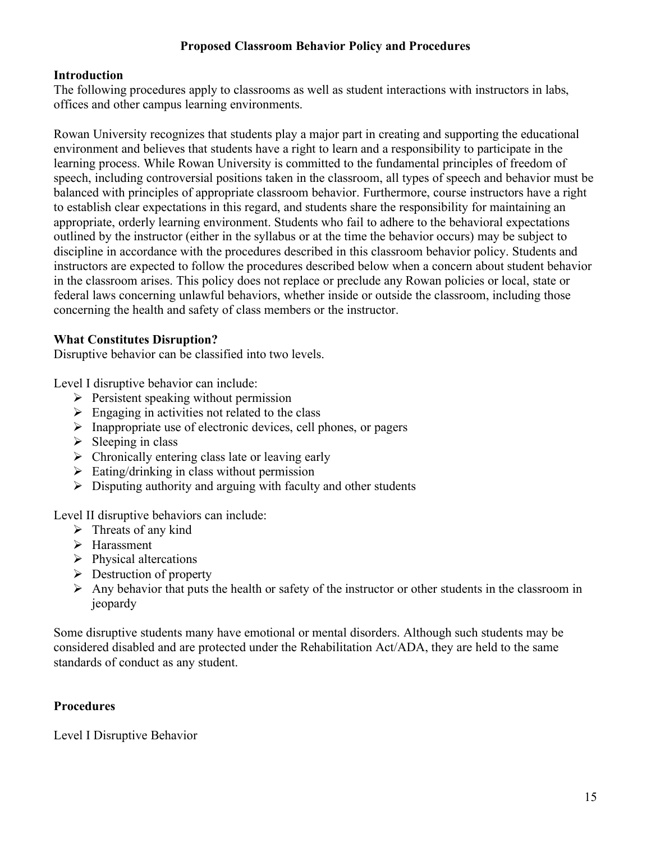# **Proposed Classroom Behavior Policy and Procedures**

# **Introduction**

The following procedures apply to classrooms as well as student interactions with instructors in labs, offices and other campus learning environments.

Rowan University recognizes that students play a major part in creating and supporting the educational environment and believes that students have a right to learn and a responsibility to participate in the learning process. While Rowan University is committed to the fundamental principles of freedom of speech, including controversial positions taken in the classroom, all types of speech and behavior must be balanced with principles of appropriate classroom behavior. Furthermore, course instructors have a right to establish clear expectations in this regard, and students share the responsibility for maintaining an appropriate, orderly learning environment. Students who fail to adhere to the behavioral expectations outlined by the instructor (either in the syllabus or at the time the behavior occurs) may be subject to discipline in accordance with the procedures described in this classroom behavior policy. Students and instructors are expected to follow the procedures described below when a concern about student behavior in the classroom arises. This policy does not replace or preclude any Rowan policies or local, state or federal laws concerning unlawful behaviors, whether inside or outside the classroom, including those concerning the health and safety of class members or the instructor.

# **What Constitutes Disruption?**

Disruptive behavior can be classified into two levels.

Level I disruptive behavior can include:

- $\triangleright$  Persistent speaking without permission
- $\triangleright$  Engaging in activities not related to the class
- $\triangleright$  Inappropriate use of electronic devices, cell phones, or pagers
- $\triangleright$  Sleeping in class
- $\triangleright$  Chronically entering class late or leaving early
- $\triangleright$  Eating/drinking in class without permission
- $\triangleright$  Disputing authority and arguing with faculty and other students

Level II disruptive behaviors can include:

- $\triangleright$  Threats of any kind
- > Harassment
- $\triangleright$  Physical altercations
- $\triangleright$  Destruction of property
- $\triangleright$  Any behavior that puts the health or safety of the instructor or other students in the classroom in jeopardy

Some disruptive students many have emotional or mental disorders. Although such students may be considered disabled and are protected under the Rehabilitation Act/ADA, they are held to the same standards of conduct as any student.

# **Procedures**

Level I Disruptive Behavior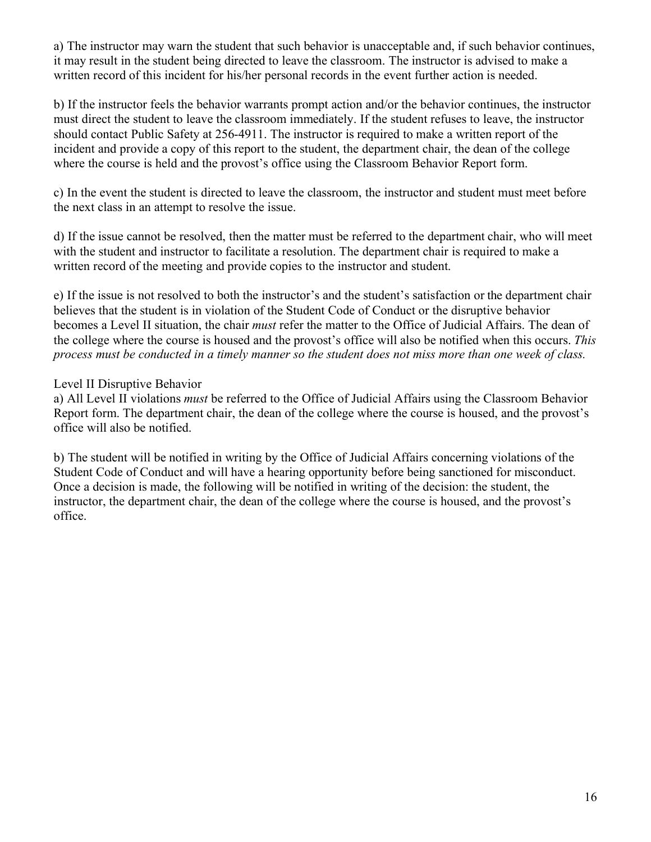a) The instructor may warn the student that such behavior is unacceptable and, if such behavior continues, it may result in the student being directed to leave the classroom. The instructor is advised to make a written record of this incident for his/her personal records in the event further action is needed.

b) If the instructor feels the behavior warrants prompt action and/or the behavior continues, the instructor must direct the student to leave the classroom immediately. If the student refuses to leave, the instructor should contact Public Safety at 256-4911. The instructor is required to make a written report of the incident and provide a copy of this report to the student, the department chair, the dean of the college where the course is held and the provost's office using the Classroom Behavior Report form.

c) In the event the student is directed to leave the classroom, the instructor and student must meet before the next class in an attempt to resolve the issue.

d) If the issue cannot be resolved, then the matter must be referred to the department chair, who will meet with the student and instructor to facilitate a resolution. The department chair is required to make a written record of the meeting and provide copies to the instructor and student.

e) If the issue is not resolved to both the instructor's and the student's satisfaction or the department chair believes that the student is in violation of the Student Code of Conduct or the disruptive behavior becomes a Level II situation, the chair *must* refer the matter to the Office of Judicial Affairs. The dean of the college where the course is housed and the provost's office will also be notified when this occurs. *This process must be conducted in a timely manner so the student does not miss more than one week of class.*

Level II Disruptive Behavior

a) All Level II violations *must* be referred to the Office of Judicial Affairs using the Classroom Behavior Report form. The department chair, the dean of the college where the course is housed, and the provost's office will also be notified.

b) The student will be notified in writing by the Office of Judicial Affairs concerning violations of the Student Code of Conduct and will have a hearing opportunity before being sanctioned for misconduct. Once a decision is made, the following will be notified in writing of the decision: the student, the instructor, the department chair, the dean of the college where the course is housed, and the provost's office.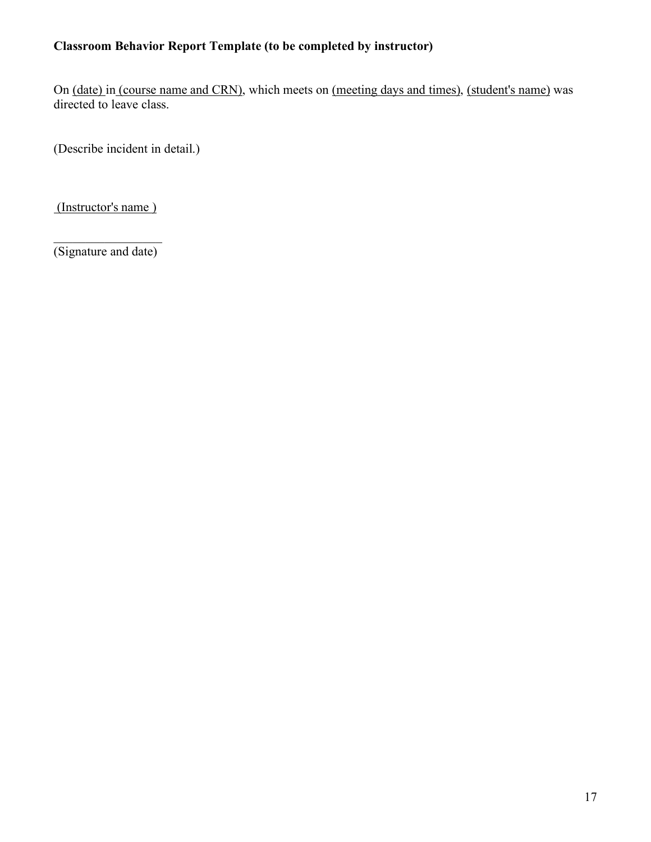# **Classroom Behavior Report Template (to be completed by instructor)**

On (date) in (course name and CRN), which meets on (meeting days and times), (student's name) was directed to leave class.

(Describe incident in detail.)

(Instructor's name )

 $\frac{1}{2}$  ,  $\frac{1}{2}$  ,  $\frac{1}{2}$  ,  $\frac{1}{2}$  ,  $\frac{1}{2}$  ,  $\frac{1}{2}$  ,  $\frac{1}{2}$  ,  $\frac{1}{2}$  ,  $\frac{1}{2}$ (Signature and date)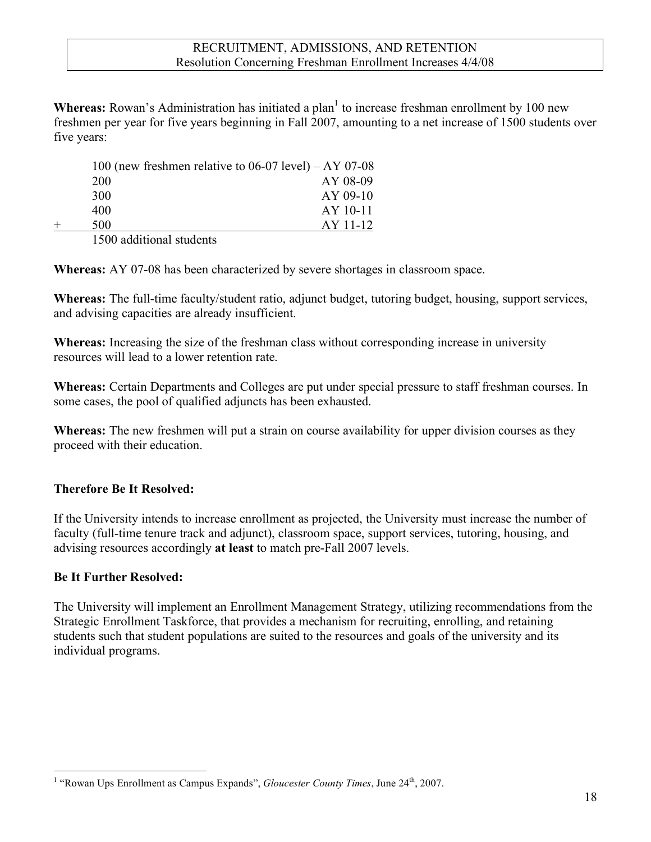**Whereas:** Rowan's Administration has initiated a plan<sup>1</sup> to increase freshman enrollment by 100 new freshmen per year for five years beginning in Fall 2007, amounting to a net increase of 1500 students over five years:

|     | 100 (new freshmen relative to $06-07$ level) – AY 07-08 |
|-----|---------------------------------------------------------|
| 200 | AY 08-09                                                |
| 300 | $AY$ 09-10                                              |
| 400 | $AY$ 10-11                                              |
| 500 | AY 11-12                                                |
|     |                                                         |

1500 additional students

**Whereas:** AY 07-08 has been characterized by severe shortages in classroom space.

**Whereas:** The full-time faculty/student ratio, adjunct budget, tutoring budget, housing, support services, and advising capacities are already insufficient.

**Whereas:** Increasing the size of the freshman class without corresponding increase in university resources will lead to a lower retention rate.

**Whereas:** Certain Departments and Colleges are put under special pressure to staff freshman courses. In some cases, the pool of qualified adjuncts has been exhausted.

**Whereas:** The new freshmen will put a strain on course availability for upper division courses as they proceed with their education.

# **Therefore Be It Resolved:**

If the University intends to increase enrollment as projected, the University must increase the number of faculty (full-time tenure track and adjunct), classroom space, support services, tutoring, housing, and advising resources accordingly **at least** to match pre-Fall 2007 levels.

# **Be It Further Resolved:**

The University will implement an Enrollment Management Strategy, utilizing recommendations from the Strategic Enrollment Taskforce, that provides a mechanism for recruiting, enrolling, and retaining students such that student populations are suited to the resources and goals of the university and its individual programs.

 $\frac{1}{1}$ <sup>1</sup> "Rowan Ups Enrollment as Campus Expands", *Gloucester County Times*, June 24<sup>th</sup>, 2007.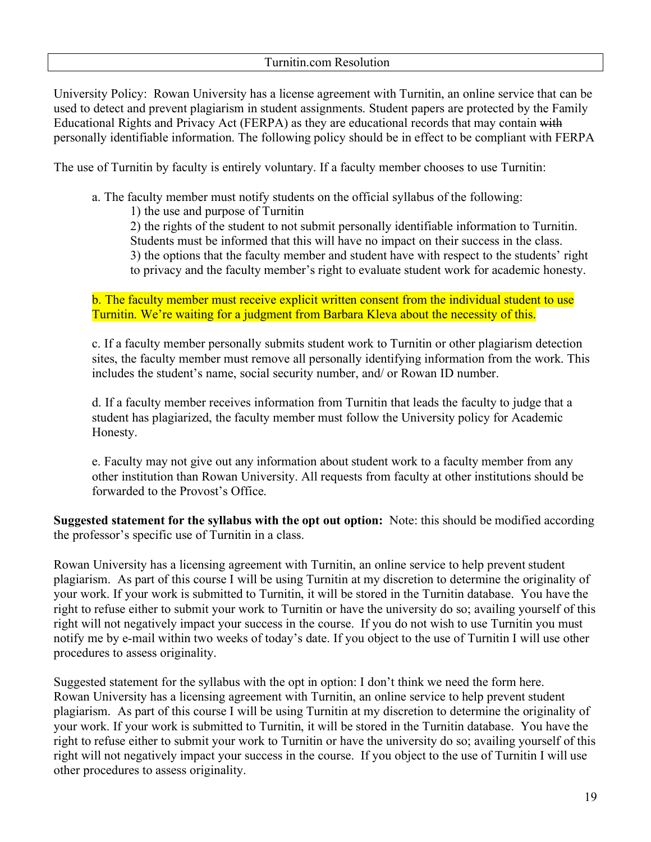University Policy: Rowan University has a license agreement with Turnitin, an online service that can be used to detect and prevent plagiarism in student assignments. Student papers are protected by the Family Educational Rights and Privacy Act (FERPA) as they are educational records that may contain with personally identifiable information. The following policy should be in effect to be compliant with FERPA

The use of Turnitin by faculty is entirely voluntary. If a faculty member chooses to use Turnitin:

- a. The faculty member must notify students on the official syllabus of the following:
	- 1) the use and purpose of Turnitin
	- 2) the rights of the student to not submit personally identifiable information to Turnitin.
	- Students must be informed that this will have no impact on their success in the class.
	- 3) the options that the faculty member and student have with respect to the students' right
	- to privacy and the faculty member's right to evaluate student work for academic honesty.

b. The faculty member must receive explicit written consent from the individual student to use Turnitin. We're waiting for a judgment from Barbara Kleva about the necessity of this.

c. If a faculty member personally submits student work to Turnitin or other plagiarism detection sites, the faculty member must remove all personally identifying information from the work. This includes the student's name, social security number, and/ or Rowan ID number.

d. If a faculty member receives information from Turnitin that leads the faculty to judge that a student has plagiarized, the faculty member must follow the University policy for Academic Honesty.

e. Faculty may not give out any information about student work to a faculty member from any other institution than Rowan University. All requests from faculty at other institutions should be forwarded to the Provost's Office.

**Suggested statement for the syllabus with the opt out option:** Note: this should be modified according the professor's specific use of Turnitin in a class.

Rowan University has a licensing agreement with Turnitin, an online service to help prevent student plagiarism. As part of this course I will be using Turnitin at my discretion to determine the originality of your work. If your work is submitted to Turnitin, it will be stored in the Turnitin database. You have the right to refuse either to submit your work to Turnitin or have the university do so; availing yourself of this right will not negatively impact your success in the course. If you do not wish to use Turnitin you must notify me by e-mail within two weeks of today's date. If you object to the use of Turnitin I will use other procedures to assess originality.

Suggested statement for the syllabus with the opt in option: I don't think we need the form here. Rowan University has a licensing agreement with Turnitin, an online service to help prevent student plagiarism. As part of this course I will be using Turnitin at my discretion to determine the originality of your work. If your work is submitted to Turnitin, it will be stored in the Turnitin database. You have the right to refuse either to submit your work to Turnitin or have the university do so; availing yourself of this right will not negatively impact your success in the course. If you object to the use of Turnitin I will use other procedures to assess originality.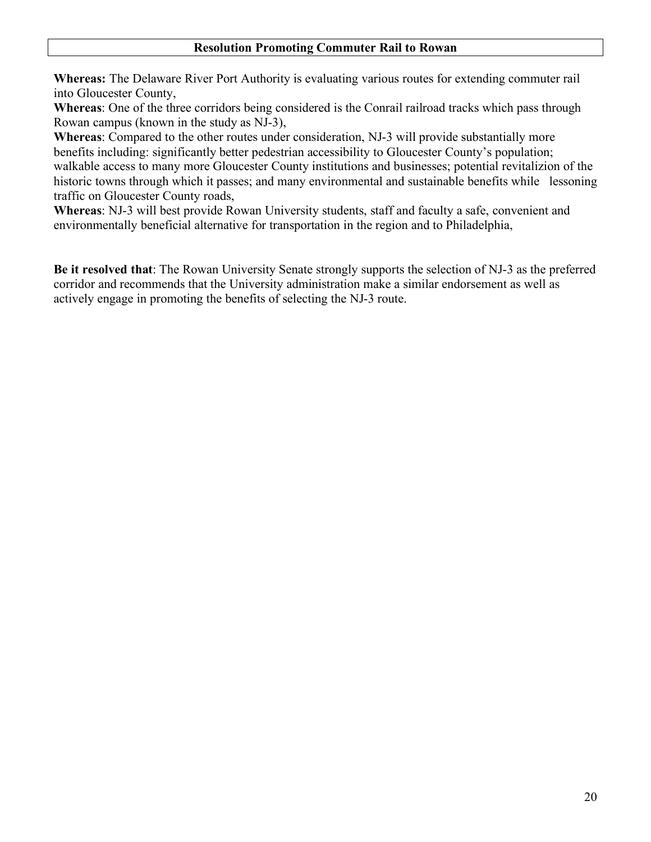**Whereas:** The Delaware River Port Authority is evaluating various routes for extending commuter rail into Gloucester County,

**Whereas**: One of the three corridors being considered is the Conrail railroad tracks which pass through Rowan campus (known in the study as NJ-3),

**Whereas**: Compared to the other routes under consideration, NJ-3 will provide substantially more benefits including: significantly better pedestrian accessibility to Gloucester County's population; walkable access to many more Gloucester County institutions and businesses; potential revitalizion of the historic towns through which it passes; and many environmental and sustainable benefits while lessoning traffic on Gloucester County roads,

**Whereas**: NJ-3 will best provide Rowan University students, staff and faculty a safe, convenient and environmentally beneficial alternative for transportation in the region and to Philadelphia,

**Be it resolved that**: The Rowan University Senate strongly supports the selection of NJ-3 as the preferred corridor and recommends that the University administration make a similar endorsement as well as actively engage in promoting the benefits of selecting the NJ-3 route.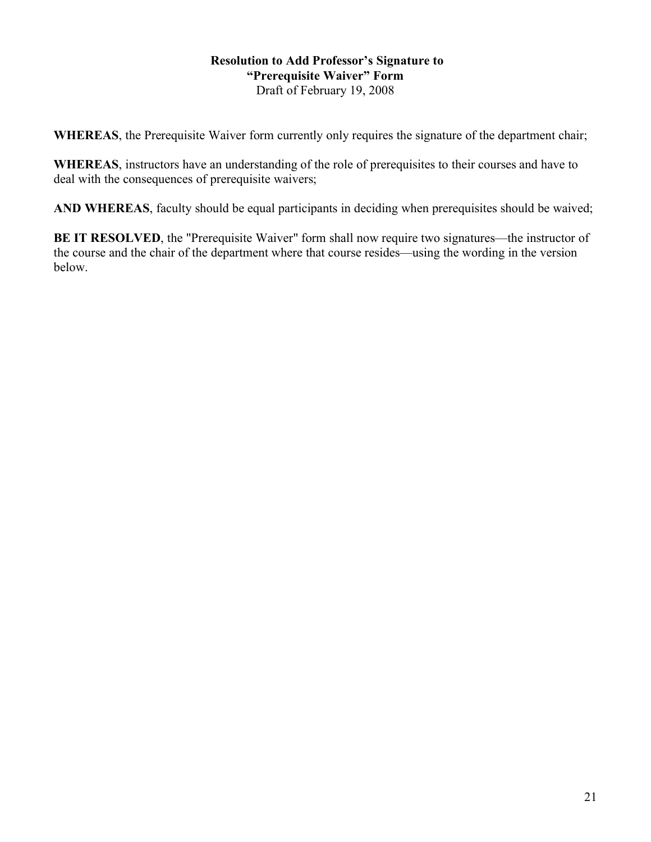### **Resolution to Add Professor's Signature to "Prerequisite Waiver" Form** Draft of February 19, 2008

**WHEREAS**, the Prerequisite Waiver form currently only requires the signature of the department chair;

**WHEREAS**, instructors have an understanding of the role of prerequisites to their courses and have to deal with the consequences of prerequisite waivers;

**AND WHEREAS**, faculty should be equal participants in deciding when prerequisites should be waived;

**BE IT RESOLVED**, the "Prerequisite Waiver" form shall now require two signatures—the instructor of the course and the chair of the department where that course resides—using the wording in the version below.